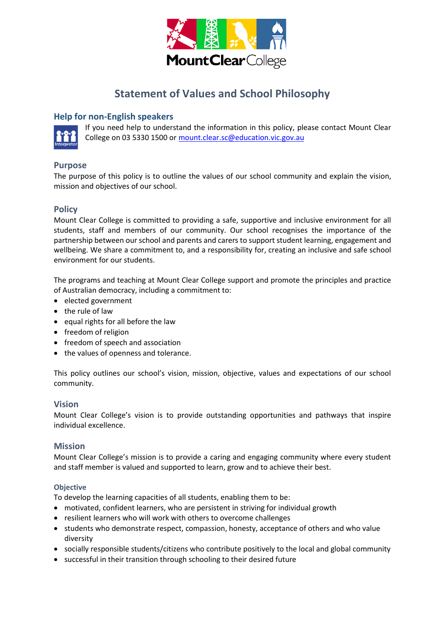

# **Statement of Values and School Philosophy**

# **Help for non-English speakers**



If you need help to understand the information in this policy, please contact Mount Clear College on 03 5330 1500 o[r mount.clear.sc@education.vic.gov.au](mailto:mount.clear.sc@education.vic.gov.au)

# **Purpose**

The purpose of this policy is to outline the values of our school community and explain the vision, mission and objectives of our school.

## **Policy**

Mount Clear College is committed to providing a safe, supportive and inclusive environment for all students, staff and members of our community. Our school recognises the importance of the partnership between our school and parents and carers to support student learning, engagement and wellbeing. We share a commitment to, and a responsibility for, creating an inclusive and safe school environment for our students.

The programs and teaching at Mount Clear College support and promote the principles and practice of Australian democracy, including a commitment to:

- elected government
- the rule of law
- equal rights for all before the law
- freedom of religion
- freedom of speech and association
- the values of openness and tolerance.

This policy outlines our school's vision, mission, objective, values and expectations of our school community.

## **Vision**

Mount Clear College's vision is to provide outstanding opportunities and pathways that inspire individual excellence.

## **Mission**

Mount Clear College's mission is to provide a caring and engaging community where every student and staff member is valued and supported to learn, grow and to achieve their best.

#### **Objective**

To develop the learning capacities of all students, enabling them to be:

- motivated, confident learners, who are persistent in striving for individual growth
- resilient learners who will work with others to overcome challenges
- students who demonstrate respect, compassion, honesty, acceptance of others and who value diversity
- socially responsible students/citizens who contribute positively to the local and global community
- successful in their transition through schooling to their desired future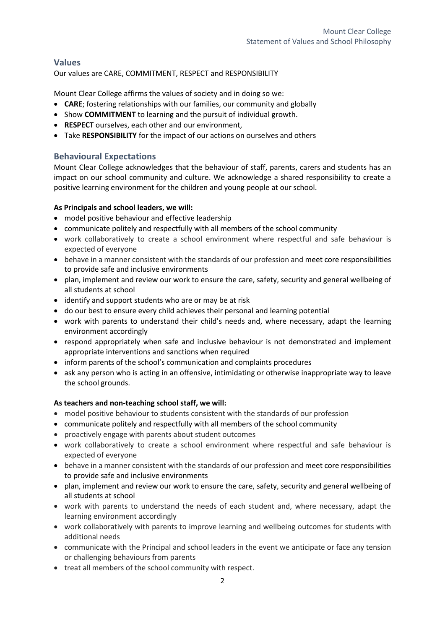# **Values**

Our values are CARE, COMMITMENT, RESPECT and RESPONSIBILITY

Mount Clear College affirms the values of society and in doing so we:

- **CARE**; fostering relationships with our families, our community and globally
- Show **COMMITMENT** to learning and the pursuit of individual growth.
- **RESPECT** ourselves, each other and our environment,
- Take **RESPONSIBILITY** for the impact of our actions on ourselves and others

# **Behavioural Expectations**

Mount Clear College acknowledges that the behaviour of staff, parents, carers and students has an impact on our school community and culture. We acknowledge a shared responsibility to create a positive learning environment for the children and young people at our school.

## **As Principals and school leaders, we will:**

- model positive behaviour and effective leadership
- communicate politely and respectfully with all members of the school community
- work collaboratively to create a school environment where respectful and safe behaviour is expected of everyone
- behave in a manner consistent with the standards of our profession and meet core responsibilities to provide safe and inclusive environments
- plan, implement and review our work to ensure the care, safety, security and general wellbeing of all students at school
- identify and support students who are or may be at risk
- do our best to ensure every child achieves their personal and learning potential
- work with parents to understand their child's needs and, where necessary, adapt the learning environment accordingly
- respond appropriately when safe and inclusive behaviour is not demonstrated and implement appropriate interventions and sanctions when required
- inform parents of the school's communication and complaints procedures
- ask any person who is acting in an offensive, intimidating or otherwise inappropriate way to leave the school grounds.

## **As teachers and non-teaching school staff, we will:**

- model positive behaviour to students consistent with the standards of our profession
- communicate politely and respectfully with all members of the school community
- proactively engage with parents about student outcomes
- work collaboratively to create a school environment where respectful and safe behaviour is expected of everyone
- behave in a manner consistent with the standards of our profession and meet core responsibilities to provide safe and inclusive environments
- plan, implement and review our work to ensure the care, safety, security and general wellbeing of all students at school
- work with parents to understand the needs of each student and, where necessary, adapt the learning environment accordingly
- work collaboratively with parents to improve learning and wellbeing outcomes for students with additional needs
- communicate with the Principal and school leaders in the event we anticipate or face any tension or challenging behaviours from parents
- treat all members of the school community with respect.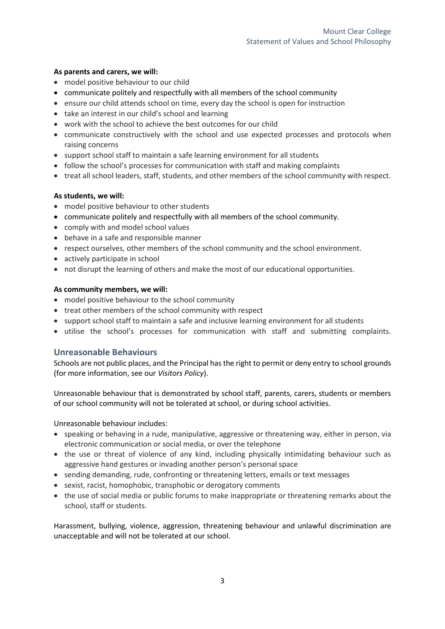#### **As parents and carers, we will:**

- model positive behaviour to our child
- communicate politely and respectfully with all members of the school community
- ensure our child attends school on time, every day the school is open for instruction
- take an interest in our child's school and learning
- work with the school to achieve the best outcomes for our child
- communicate constructively with the school and use expected processes and protocols when raising concerns
- support school staff to maintain a safe learning environment for all students
- follow the school's processes for communication with staff and making complaints
- treat all school leaders, staff, students, and other members of the school community with respect.

#### **As students, we will:**

- model positive behaviour to other students
- communicate politely and respectfully with all members of the school community.
- comply with and model school values
- behave in a safe and responsible manner
- respect ourselves, other members of the school community and the school environment.
- actively participate in school
- not disrupt the learning of others and make the most of our educational opportunities.

#### **As community members, we will:**

- model positive behaviour to the school community
- treat other members of the school community with respect
- support school staff to maintain a safe and inclusive learning environment for all students
- utilise the school's processes for communication with staff and submitting complaints.

## **Unreasonable Behaviours**

Schools are not public places, and the Principal has the right to permit or deny entry to school grounds (for more information, see our *Visitors Policy*).

Unreasonable behaviour that is demonstrated by school staff, parents, carers, students or members of our school community will not be tolerated at school, or during school activities.

Unreasonable behaviour includes:

- speaking or behaving in a rude, manipulative, aggressive or threatening way, either in person, via electronic communication or social media, or over the telephone
- the use or threat of violence of any kind, including physically intimidating behaviour such as aggressive hand gestures or invading another person's personal space
- sending demanding, rude, confronting or threatening letters, emails or text messages
- sexist, racist, homophobic, transphobic or derogatory comments
- the use of social media or public forums to make inappropriate or threatening remarks about the school, staff or students.

Harassment, bullying, violence, aggression, threatening behaviour and unlawful discrimination are unacceptable and will not be tolerated at our school.